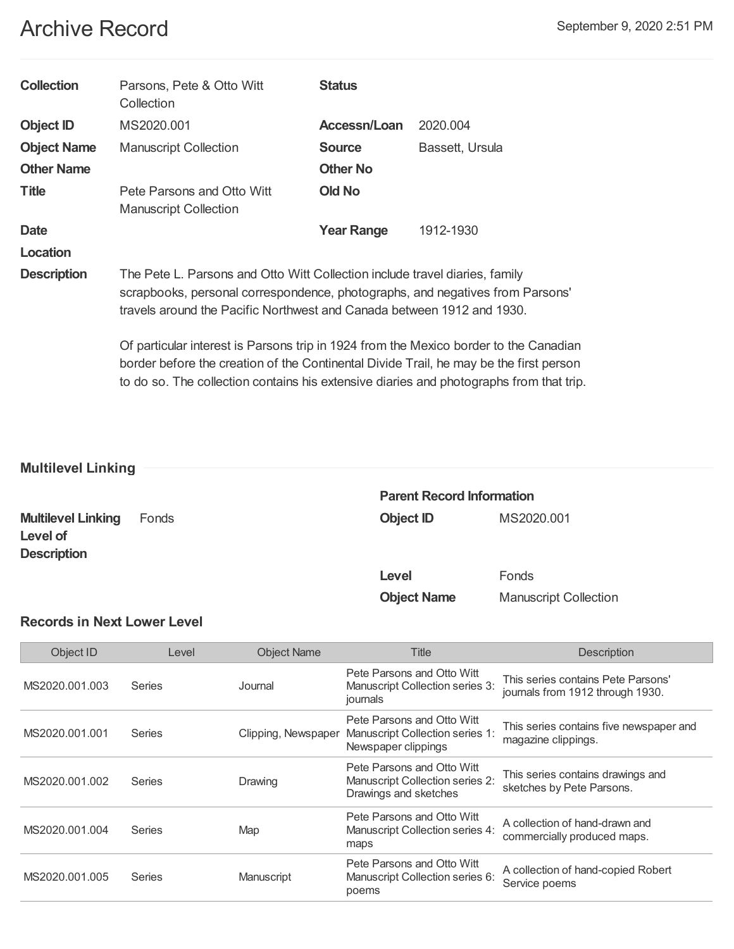# Archive Record **Execute Archive Record** September 9, 2020 2:51 PM

| <b>Collection</b>  | Parsons, Pete & Otto Witt<br>Collection                                                                                                                                                                                                                                                                                                                                                                                                                                                                              | <b>Status</b>     |                 |
|--------------------|----------------------------------------------------------------------------------------------------------------------------------------------------------------------------------------------------------------------------------------------------------------------------------------------------------------------------------------------------------------------------------------------------------------------------------------------------------------------------------------------------------------------|-------------------|-----------------|
| <b>Object ID</b>   | MS2020.001                                                                                                                                                                                                                                                                                                                                                                                                                                                                                                           | Accessn/Loan      | 2020.004        |
| <b>Object Name</b> | <b>Manuscript Collection</b>                                                                                                                                                                                                                                                                                                                                                                                                                                                                                         | <b>Source</b>     | Bassett, Ursula |
| <b>Other Name</b>  |                                                                                                                                                                                                                                                                                                                                                                                                                                                                                                                      | <b>Other No</b>   |                 |
| <b>Title</b>       | Pete Parsons and Otto Witt<br><b>Manuscript Collection</b>                                                                                                                                                                                                                                                                                                                                                                                                                                                           | <b>Old No</b>     |                 |
| <b>Date</b>        |                                                                                                                                                                                                                                                                                                                                                                                                                                                                                                                      | <b>Year Range</b> | 1912-1930       |
| Location           |                                                                                                                                                                                                                                                                                                                                                                                                                                                                                                                      |                   |                 |
| <b>Description</b> | The Pete L. Parsons and Otto Witt Collection include travel diaries, family<br>scrapbooks, personal correspondence, photographs, and negatives from Parsons'<br>travels around the Pacific Northwest and Canada between 1912 and 1930.<br>Of particular interest is Parsons trip in 1924 from the Mexico border to the Canadian<br>border before the creation of the Continental Divide Trail, he may be the first person<br>to do so. The collection contains his extensive diaries and photographs from that trip. |                   |                 |
|                    |                                                                                                                                                                                                                                                                                                                                                                                                                                                                                                                      |                   |                 |

# **Multilevel Linking**

|                                                             |       | <b>Parent Record Information</b> |                              |  |
|-------------------------------------------------------------|-------|----------------------------------|------------------------------|--|
| <b>Multilevel Linking</b><br>Level of<br><b>Description</b> | Fonds | <b>Object ID</b>                 | MS2020.001                   |  |
|                                                             |       | Level                            | Fonds                        |  |
|                                                             |       | <b>Object Name</b>               | <b>Manuscript Collection</b> |  |

# **Records in Next Lower Level**

| Object ID      | Level  | <b>Object Name</b>  | Title                                                                                  | <b>Description</b>                                                     |
|----------------|--------|---------------------|----------------------------------------------------------------------------------------|------------------------------------------------------------------------|
| MS2020.001.003 | Series | Journal             | Pete Parsons and Otto Witt<br>Manuscript Collection series 3:<br>journals              | This series contains Pete Parsons'<br>journals from 1912 through 1930. |
| MS2020.001.001 | Series | Clipping, Newspaper | Pete Parsons and Otto Witt<br>Manuscript Collection series 1:<br>Newspaper clippings   | This series contains five newspaper and<br>magazine clippings.         |
| MS2020.001.002 | Series | Drawing             | Pete Parsons and Otto Witt<br>Manuscript Collection series 2:<br>Drawings and sketches | This series contains drawings and<br>sketches by Pete Parsons.         |
| MS2020.001.004 | Series | Map                 | Pete Parsons and Otto Witt<br>Manuscript Collection series 4:<br>maps                  | A collection of hand-drawn and<br>commercially produced maps.          |
| MS2020.001.005 | Series | Manuscript          | Pete Parsons and Otto Witt<br>Manuscript Collection series 6:<br>poems                 | A collection of hand-copied Robert<br>Service poems                    |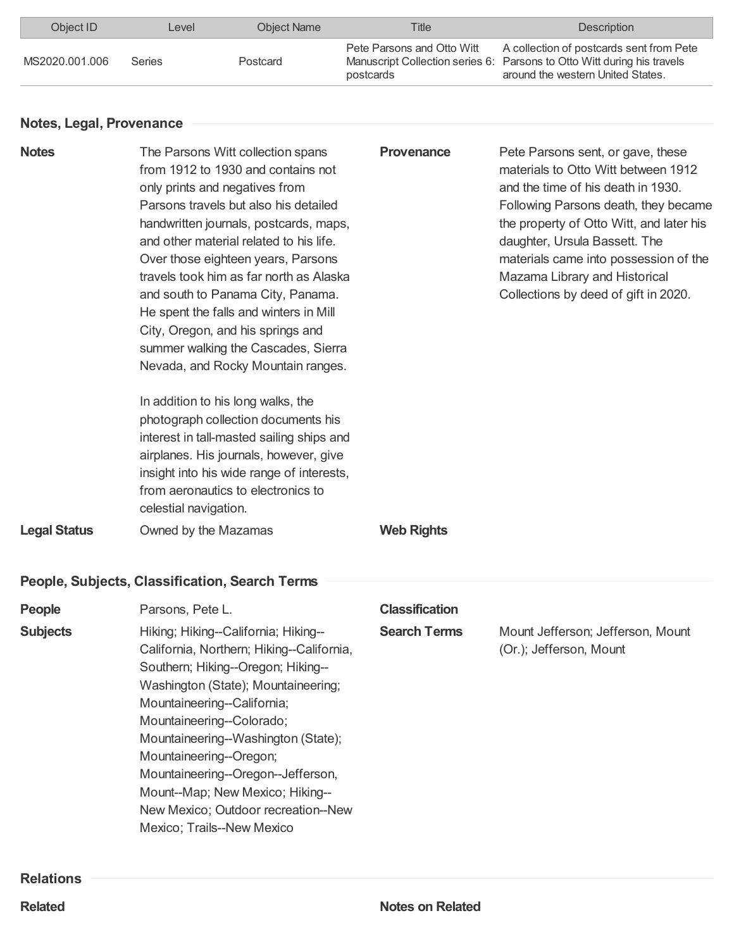| Object ID<br>Level |               | Object Name | Title<br><b>Description</b>             |                                                                                                                                                          |
|--------------------|---------------|-------------|-----------------------------------------|----------------------------------------------------------------------------------------------------------------------------------------------------------|
| MS2020.001.006     | <b>Series</b> | Postcard    | Pete Parsons and Otto Witt<br>postcards | A collection of postcards sent from Pete<br>Manuscript Collection series 6: Parsons to Otto Witt during his travels<br>around the western United States. |

### **Notes, Legal, Provenance**

| <b>Notes</b>        | The Parsons Witt collection spans<br>from 1912 to 1930 and contains not<br>only prints and negatives from<br>Parsons travels but also his detailed<br>handwritten journals, postcards, maps,<br>and other material related to his life.<br>Over those eighteen years, Parsons<br>travels took him as far north as Alaska<br>and south to Panama City, Panama.<br>He spent the falls and winters in Mill<br>City, Oregon, and his springs and<br>summer walking the Cascades, Sierra<br>Nevada, and Rocky Mountain ranges.<br>In addition to his long walks, the<br>photograph collection documents his<br>interest in tall-masted sailing ships and<br>airplanes. His journals, however, give<br>insight into his wide range of interests,<br>from aeronautics to electronics to<br>celestial navigation. | <b>Provenance</b>     | Pete Parsons sent, or gave, these<br>materials to Otto Witt between 1912<br>and the time of his death in 1930.<br>Following Parsons death, they became<br>the property of Otto Witt, and later his<br>daughter, Ursula Bassett. The<br>materials came into possession of the<br>Mazama Library and Historical<br>Collections by deed of gift in 2020. |
|---------------------|-----------------------------------------------------------------------------------------------------------------------------------------------------------------------------------------------------------------------------------------------------------------------------------------------------------------------------------------------------------------------------------------------------------------------------------------------------------------------------------------------------------------------------------------------------------------------------------------------------------------------------------------------------------------------------------------------------------------------------------------------------------------------------------------------------------|-----------------------|-------------------------------------------------------------------------------------------------------------------------------------------------------------------------------------------------------------------------------------------------------------------------------------------------------------------------------------------------------|
| <b>Legal Status</b> | Owned by the Mazamas                                                                                                                                                                                                                                                                                                                                                                                                                                                                                                                                                                                                                                                                                                                                                                                      | <b>Web Rights</b>     |                                                                                                                                                                                                                                                                                                                                                       |
|                     | People, Subjects, Classification, Search Terms                                                                                                                                                                                                                                                                                                                                                                                                                                                                                                                                                                                                                                                                                                                                                            |                       |                                                                                                                                                                                                                                                                                                                                                       |
| People              | Parsons, Pete L.                                                                                                                                                                                                                                                                                                                                                                                                                                                                                                                                                                                                                                                                                                                                                                                          | <b>Classification</b> |                                                                                                                                                                                                                                                                                                                                                       |
| <b>Subjects</b>     | Hiking; Hiking--California; Hiking--<br>California, Northern; Hiking--California,<br>Southern; Hiking--Oregon; Hiking--<br>Washington (State); Mountaineering;<br>Mountaineering--California;<br>Mountaineering--Colorado;<br>Mountaineering--Washington (State);<br>Mountaineering--Oregon;<br>Mountaineering--Oregon--Jefferson,<br>Mount--Map; New Mexico; Hiking--<br>New Mexico; Outdoor recreation--New<br>Mexico; Trails--New Mexico                                                                                                                                                                                                                                                                                                                                                               | <b>Search Terms</b>   | Mount Jefferson; Jefferson, Mount<br>(Or.); Jefferson, Mount                                                                                                                                                                                                                                                                                          |